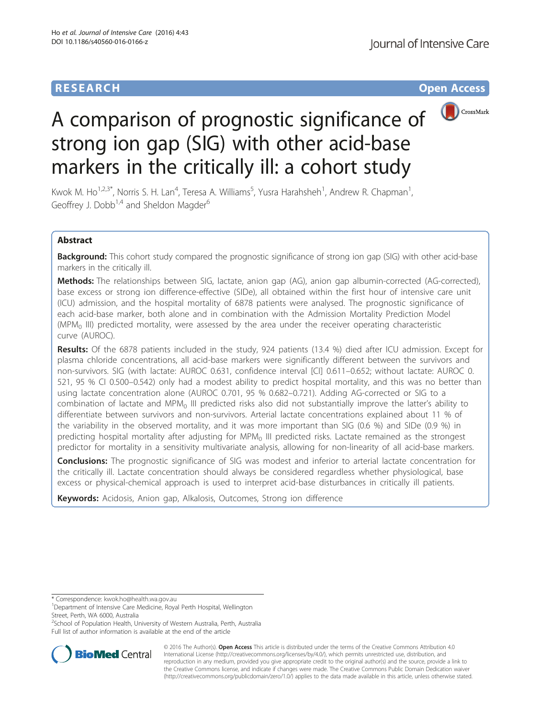# **RESEARCH RESEARCH** *CHECKER CHECKER CHECKER CHECKER CHECKER CHECKER CHECKER CHECKER CHECKER CHECKER CHECKER*



# A comparison of prognostic significance of strong ion gap (SIG) with other acid-base markers in the critically ill: a cohort study

Kwok M. Ho<sup>1,2,3\*</sup>, Norris S. H. Lan<sup>4</sup>, Teresa A. Williams<sup>5</sup>, Yusra Harahsheh<sup>1</sup>, Andrew R. Chapman<sup>1</sup> , Geoffrey J. Dobb<sup>1,4</sup> and Sheldon Magder<sup>6</sup>

# Abstract

Background: This cohort study compared the prognostic significance of strong ion gap (SIG) with other acid-base markers in the critically ill.

Methods: The relationships between SIG, lactate, anion gap (AG), anion gap albumin-corrected (AG-corrected), base excess or strong ion difference-effective (SIDe), all obtained within the first hour of intensive care unit (ICU) admission, and the hospital mortality of 6878 patients were analysed. The prognostic significance of each acid-base marker, both alone and in combination with the Admission Mortality Prediction Model (MPM<sub>0</sub> III) predicted mortality, were assessed by the area under the receiver operating characteristic curve (AUROC).

Results: Of the 6878 patients included in the study, 924 patients (13.4 %) died after ICU admission. Except for plasma chloride concentrations, all acid-base markers were significantly different between the survivors and non-survivors. SIG (with lactate: AUROC 0.631, confidence interval [CI] 0.611–0.652; without lactate: AUROC 0. 521, 95 % CI 0.500–0.542) only had a modest ability to predict hospital mortality, and this was no better than using lactate concentration alone (AUROC 0.701, 95 % 0.682–0.721). Adding AG-corrected or SIG to a combination of lactate and MPM<sub>0</sub> III predicted risks also did not substantially improve the latter's ability to differentiate between survivors and non-survivors. Arterial lactate concentrations explained about 11 % of the variability in the observed mortality, and it was more important than SIG (0.6 %) and SIDe (0.9 %) in predicting hospital mortality after adjusting for MPM<sub>0</sub> III predicted risks. Lactate remained as the strongest predictor for mortality in a sensitivity multivariate analysis, allowing for non-linearity of all acid-base markers.

**Conclusions:** The prognostic significance of SIG was modest and inferior to arterial lactate concentration for the critically ill. Lactate concentration should always be considered regardless whether physiological, base excess or physical-chemical approach is used to interpret acid-base disturbances in critically ill patients.

Keywords: Acidosis, Anion gap, Alkalosis, Outcomes, Strong ion difference

\* Correspondence: [kwok.ho@health.wa.gov.au](mailto:kwok.ho@health.wa.gov.au) <sup>1</sup>

<sup>2</sup>School of Population Health, University of Western Australia, Perth, Australia Full list of author information is available at the end of the article



© 2016 The Author(s). Open Access This article is distributed under the terms of the Creative Commons Attribution 4.0 International License [\(http://creativecommons.org/licenses/by/4.0/](http://creativecommons.org/licenses/by/4.0/)), which permits unrestricted use, distribution, and reproduction in any medium, provided you give appropriate credit to the original author(s) and the source, provide a link to the Creative Commons license, and indicate if changes were made. The Creative Commons Public Domain Dedication waiver [\(http://creativecommons.org/publicdomain/zero/1.0/](http://creativecommons.org/publicdomain/zero/1.0/)) applies to the data made available in this article, unless otherwise stated.

<sup>&</sup>lt;sup>1</sup>Department of Intensive Care Medicine, Royal Perth Hospital, Wellington Street, Perth, WA 6000, Australia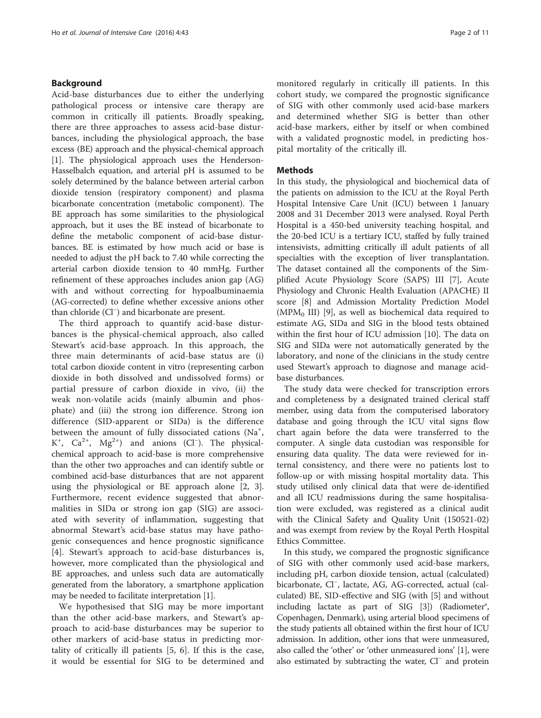# Background

Acid-base disturbances due to either the underlying pathological process or intensive care therapy are common in critically ill patients. Broadly speaking, there are three approaches to assess acid-base disturbances, including the physiological approach, the base excess (BE) approach and the physical-chemical approach [[1\]](#page-9-0). The physiological approach uses the Henderson-Hasselbalch equation, and arterial pH is assumed to be solely determined by the balance between arterial carbon dioxide tension (respiratory component) and plasma bicarbonate concentration (metabolic component). The BE approach has some similarities to the physiological approach, but it uses the BE instead of bicarbonate to define the metabolic component of acid-base disturbances. BE is estimated by how much acid or base is needed to adjust the pH back to 7.40 while correcting the arterial carbon dioxide tension to 40 mmHg. Further refinement of these approaches includes anion gap (AG) with and without correcting for hypoalbuminaemia (AG-corrected) to define whether excessive anions other than chloride (Cl<sup>−</sup> ) and bicarbonate are present.

The third approach to quantify acid-base disturbances is the physical-chemical approach, also called Stewart's acid-base approach. In this approach, the three main determinants of acid-base status are (i) total carbon dioxide content in vitro (representing carbon dioxide in both dissolved and undissolved forms) or partial pressure of carbon dioxide in vivo, (ii) the weak non-volatile acids (mainly albumin and phosphate) and (iii) the strong ion difference. Strong ion difference (SID-apparent or SIDa) is the difference between the amount of fully dissociated cations (Na<sup>+</sup>, K<sup>+</sup>, Ca<sup>2+</sup>, Mg<sup>2+</sup>) and anions (Cl<sup>−</sup>). The physicalchemical approach to acid-base is more comprehensive than the other two approaches and can identify subtle or combined acid-base disturbances that are not apparent using the physiological or BE approach alone [\[2](#page-9-0), [3](#page-9-0)]. Furthermore, recent evidence suggested that abnormalities in SIDa or strong ion gap (SIG) are associated with severity of inflammation, suggesting that abnormal Stewart's acid-base status may have pathogenic consequences and hence prognostic significance [[4\]](#page-9-0). Stewart's approach to acid-base disturbances is, however, more complicated than the physiological and BE approaches, and unless such data are automatically generated from the laboratory, a smartphone application may be needed to facilitate interpretation [[1\]](#page-9-0).

We hypothesised that SIG may be more important than the other acid-base markers, and Stewart's approach to acid-base disturbances may be superior to other markers of acid-base status in predicting mortality of critically ill patients [[5, 6](#page-9-0)]. If this is the case, it would be essential for SIG to be determined and

monitored regularly in critically ill patients. In this cohort study, we compared the prognostic significance of SIG with other commonly used acid-base markers and determined whether SIG is better than other acid-base markers, either by itself or when combined with a validated prognostic model, in predicting hospital mortality of the critically ill.

# Methods

In this study, the physiological and biochemical data of the patients on admission to the ICU at the Royal Perth Hospital Intensive Care Unit (ICU) between 1 January 2008 and 31 December 2013 were analysed. Royal Perth Hospital is a 450-bed university teaching hospital, and the 20-bed ICU is a tertiary ICU, staffed by fully trained intensivists, admitting critically ill adult patients of all specialties with the exception of liver transplantation. The dataset contained all the components of the Simplified Acute Physiology Score (SAPS) III [\[7](#page-9-0)], Acute Physiology and Chronic Health Evaluation (APACHE) II score [\[8](#page-10-0)] and Admission Mortality Prediction Model (MPM<sub>0</sub> III) [\[9](#page-10-0)], as well as biochemical data required to estimate AG, SIDa and SIG in the blood tests obtained within the first hour of ICU admission [\[10\]](#page-10-0). The data on SIG and SIDa were not automatically generated by the laboratory, and none of the clinicians in the study centre used Stewart's approach to diagnose and manage acidbase disturbances.

The study data were checked for transcription errors and completeness by a designated trained clerical staff member, using data from the computerised laboratory database and going through the ICU vital signs flow chart again before the data were transferred to the computer. A single data custodian was responsible for ensuring data quality. The data were reviewed for internal consistency, and there were no patients lost to follow-up or with missing hospital mortality data. This study utilised only clinical data that were de-identified and all ICU readmissions during the same hospitalisation were excluded, was registered as a clinical audit with the Clinical Safety and Quality Unit (150521-02) and was exempt from review by the Royal Perth Hospital Ethics Committee.

In this study, we compared the prognostic significance of SIG with other commonly used acid-base markers, including pH, carbon dioxide tension, actual (calculated) bicarbonate, Cl<sup>−</sup> , lactate, AG, AG-corrected, actual (calculated) BE, SID-effective and SIG (with [[5\]](#page-9-0) and without including lactate as part of SIG [\[3](#page-9-0)]) (Radiometer®, Copenhagen, Denmark), using arterial blood specimens of the study patients all obtained within the first hour of ICU admission. In addition, other ions that were unmeasured, also called the 'other' or 'other unmeasured ions' [[1](#page-9-0)], were also estimated by subtracting the water, Cl<sup>−</sup> and protein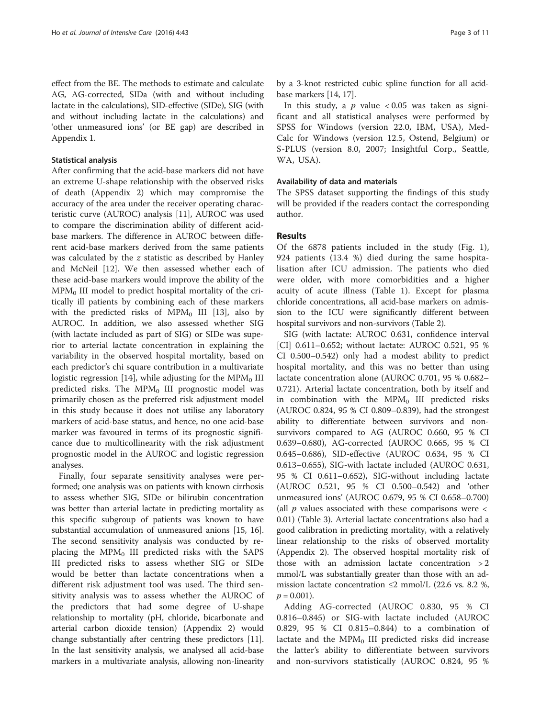effect from the BE. The methods to estimate and calculate AG, AG-corrected, SIDa (with and without including lactate in the calculations), SID-effective (SIDe), SIG (with and without including lactate in the calculations) and 'other unmeasured ions' (or BE gap) are described in [Appendix 1](#page-8-0).

# Statistical analysis

After confirming that the acid-base markers did not have an extreme U-shape relationship with the observed risks of death ([Appendix 2](#page-8-0)) which may compromise the accuracy of the area under the receiver operating characteristic curve (AUROC) analysis [[11](#page-10-0)], AUROC was used to compare the discrimination ability of different acidbase markers. The difference in AUROC between different acid-base markers derived from the same patients was calculated by the z statistic as described by Hanley and McNeil [\[12](#page-10-0)]. We then assessed whether each of these acid-base markers would improve the ability of the  $MPM<sub>0</sub>$  III model to predict hospital mortality of the critically ill patients by combining each of these markers with the predicted risks of  $MPM<sub>0</sub>$  III [\[13](#page-10-0)], also by AUROC. In addition, we also assessed whether SIG (with lactate included as part of SIG) or SIDe was superior to arterial lactate concentration in explaining the variability in the observed hospital mortality, based on each predictor's chi square contribution in a multivariate logistic regression [\[14](#page-10-0)], while adjusting for the  $MPM<sub>0</sub>$  III predicted risks. The  $MPM<sub>0</sub>$  III prognostic model was primarily chosen as the preferred risk adjustment model in this study because it does not utilise any laboratory markers of acid-base status, and hence, no one acid-base marker was favoured in terms of its prognostic significance due to multicollinearity with the risk adjustment prognostic model in the AUROC and logistic regression analyses.

Finally, four separate sensitivity analyses were performed; one analysis was on patients with known cirrhosis to assess whether SIG, SIDe or bilirubin concentration was better than arterial lactate in predicting mortality as this specific subgroup of patients was known to have substantial accumulation of unmeasured anions [\[15, 16](#page-10-0)]. The second sensitivity analysis was conducted by replacing the  $MPM<sub>0</sub>$  III predicted risks with the SAPS III predicted risks to assess whether SIG or SIDe would be better than lactate concentrations when a different risk adjustment tool was used. The third sensitivity analysis was to assess whether the AUROC of the predictors that had some degree of U-shape relationship to mortality (pH, chloride, bicarbonate and arterial carbon dioxide tension) ([Appendix 2\)](#page-8-0) would change substantially after centring these predictors [[11](#page-10-0)]. In the last sensitivity analysis, we analysed all acid-base markers in a multivariate analysis, allowing non-linearity

by a 3-knot restricted cubic spline function for all acidbase markers [[14, 17\]](#page-10-0).

In this study, a  $p$  value < 0.05 was taken as significant and all statistical analyses were performed by SPSS for Windows (version 22.0, IBM, USA), Med-Calc for Windows (version 12.5, Ostend, Belgium) or S-PLUS (version 8.0, 2007; Insightful Corp., Seattle, WA, USA).

# Availability of data and materials

The SPSS dataset supporting the findings of this study will be provided if the readers contact the corresponding author.

# Results

Of the 6878 patients included in the study (Fig. [1](#page-3-0)), 924 patients (13.4 %) died during the same hospitalisation after ICU admission. The patients who died were older, with more comorbidities and a higher acuity of acute illness (Table [1](#page-4-0)). Except for plasma chloride concentrations, all acid-base markers on admission to the ICU were significantly different between hospital survivors and non-survivors (Table [2\)](#page-5-0).

SIG (with lactate: AUROC 0.631, confidence interval [CI] 0.611–0.652; without lactate: AUROC 0.521, 95 % CI 0.500–0.542) only had a modest ability to predict hospital mortality, and this was no better than using lactate concentration alone (AUROC 0.701, 95 % 0.682– 0.721). Arterial lactate concentration, both by itself and in combination with the  $MPM<sub>0</sub>$  III predicted risks (AUROC 0.824, 95 % CI 0.809–0.839), had the strongest ability to differentiate between survivors and nonsurvivors compared to AG (AUROC 0.660, 95 % CI 0.639–0.680), AG-corrected (AUROC 0.665, 95 % CI 0.645–0.686), SID-effective (AUROC 0.634, 95 % CI 0.613–0.655), SIG-with lactate included (AUROC 0.631, 95 % CI 0.611–0.652), SIG-without including lactate (AUROC 0.521, 95 % CI 0.500–0.542) and 'other unmeasured ions' (AUROC 0.679, 95 % CI 0.658–0.700) (all  $p$  values associated with these comparisons were  $\leq$ 0.01) (Table [3](#page-6-0)). Arterial lactate concentrations also had a good calibration in predicting mortality, with a relatively linear relationship to the risks of observed mortality ([Appendix 2](#page-8-0)). The observed hospital mortality risk of those with an admission lactate concentration  $>2$ mmol/L was substantially greater than those with an admission lactate concentration  $\leq 2$  mmol/L (22.6 vs. 8.2 %,  $p = 0.001$ ).

Adding AG-corrected (AUROC 0.830, 95 % CI 0.816–0.845) or SIG-with lactate included (AUROC 0.829, 95 % CI 0.815–0.844) to a combination of lactate and the  $MPM<sub>0</sub>$  III predicted risks did increase the latter's ability to differentiate between survivors and non-survivors statistically (AUROC 0.824, 95 %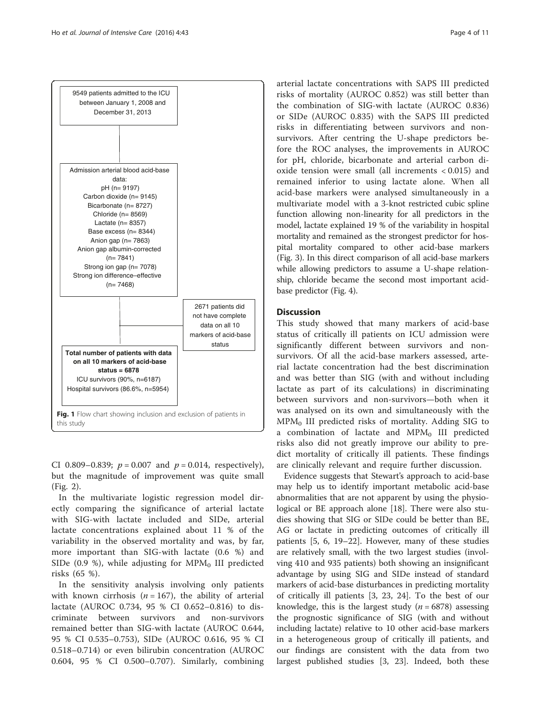<span id="page-3-0"></span>

Fig. 1 Flow chart showing inclusion and exclusion of patients in this study

CI 0.809–0.839;  $p = 0.007$  and  $p = 0.014$ , respectively), but the magnitude of improvement was quite small (Fig. [2\)](#page-6-0).

In the multivariate logistic regression model directly comparing the significance of arterial lactate with SIG-with lactate included and SIDe, arterial lactate concentrations explained about 11 % of the variability in the observed mortality and was, by far, more important than SIG-with lactate (0.6 %) and SIDe (0.9 %), while adjusting for  $MPM<sub>0</sub>$  III predicted risks (65 %).

In the sensitivity analysis involving only patients with known cirrhosis ( $n = 167$ ), the ability of arterial lactate (AUROC 0.734, 95 % CI 0.652–0.816) to discriminate between survivors and non-survivors remained better than SIG-with lactate (AUROC 0.644, 95 % CI 0.535–0.753), SIDe (AUROC 0.616, 95 % CI 0.518–0.714) or even bilirubin concentration (AUROC 0.604, 95 % CI 0.500–0.707). Similarly, combining arterial lactate concentrations with SAPS III predicted risks of mortality (AUROC 0.852) was still better than the combination of SIG-with lactate (AUROC 0.836) or SIDe (AUROC 0.835) with the SAPS III predicted risks in differentiating between survivors and nonsurvivors. After centring the U-shape predictors before the ROC analyses, the improvements in AUROC for pH, chloride, bicarbonate and arterial carbon dioxide tension were small (all increments < 0.015) and remained inferior to using lactate alone. When all acid-base markers were analysed simultaneously in a multivariate model with a 3-knot restricted cubic spline function allowing non-linearity for all predictors in the model, lactate explained 19 % of the variability in hospital mortality and remained as the strongest predictor for hospital mortality compared to other acid-base markers (Fig. [3\)](#page-7-0). In this direct comparison of all acid-base markers while allowing predictors to assume a U-shape relationship, chloride became the second most important acidbase predictor (Fig. [4\)](#page-7-0).

# **Discussion**

This study showed that many markers of acid-base status of critically ill patients on ICU admission were significantly different between survivors and nonsurvivors. Of all the acid-base markers assessed, arterial lactate concentration had the best discrimination and was better than SIG (with and without including lactate as part of its calculations) in discriminating between survivors and non-survivors—both when it was analysed on its own and simultaneously with the  $MPM<sub>0</sub>$  III predicted risks of mortality. Adding SIG to a combination of lactate and  $MPM<sub>0</sub>$  III predicted risks also did not greatly improve our ability to predict mortality of critically ill patients. These findings are clinically relevant and require further discussion.

Evidence suggests that Stewart's approach to acid-base may help us to identify important metabolic acid-base abnormalities that are not apparent by using the physiological or BE approach alone [\[18\]](#page-10-0). There were also studies showing that SIG or SIDe could be better than BE, AG or lactate in predicting outcomes of critically ill patients [[5, 6,](#page-9-0) [19](#page-10-0)–[22](#page-10-0)]. However, many of these studies are relatively small, with the two largest studies (involving 410 and 935 patients) both showing an insignificant advantage by using SIG and SIDe instead of standard markers of acid-base disturbances in predicting mortality of critically ill patients [[3,](#page-9-0) [23](#page-10-0), [24\]](#page-10-0). To the best of our knowledge, this is the largest study ( $n = 6878$ ) assessing the prognostic significance of SIG (with and without including lactate) relative to 10 other acid-base markers in a heterogeneous group of critically ill patients, and our findings are consistent with the data from two largest published studies [\[3](#page-9-0), [23](#page-10-0)]. Indeed, both these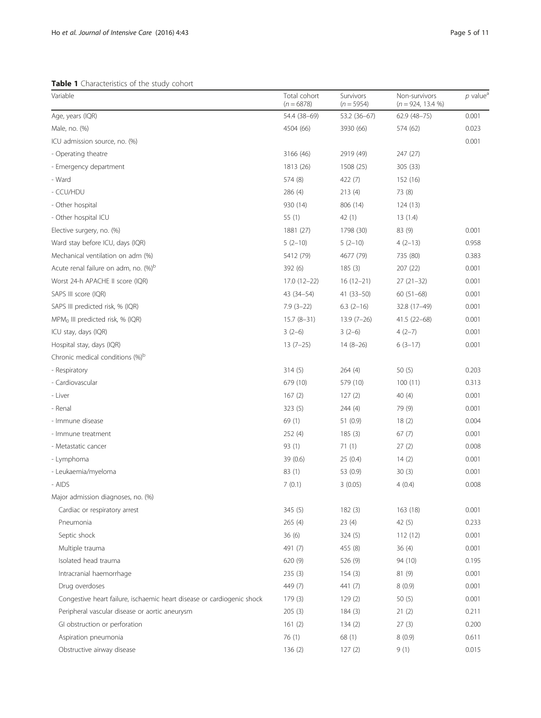<span id="page-4-0"></span>Table 1 Characteristics of the study cohort

| Variable                                                               | Total cohort<br>$(n = 6878)$ | Survivors<br>$(n = 5954)$ | Non-survivors<br>$(n = 924, 13.4\%)$ | $p$ value <sup>a</sup> |
|------------------------------------------------------------------------|------------------------------|---------------------------|--------------------------------------|------------------------|
| Age, years (IQR)                                                       | 54.4 (38-69)                 | 53.2 (36-67)              | 62.9 (48-75)                         | 0.001                  |
| Male, no. (%)                                                          | 4504 (66)                    | 3930 (66)                 | 574 (62)                             | 0.023                  |
| ICU admission source, no. (%)                                          |                              |                           |                                      | 0.001                  |
| - Operating theatre                                                    | 3166 (46)                    | 2919 (49)                 | 247 (27)                             |                        |
| - Emergency department                                                 | 1813 (26)                    | 1508 (25)                 | 305 (33)                             |                        |
| - Ward                                                                 | 574 (8)                      | 422 (7)                   | 152 (16)                             |                        |
| - CCU/HDU                                                              | 286(4)                       | 213(4)                    | 73 (8)                               |                        |
| - Other hospital                                                       | 930 (14)                     | 806 (14)                  | 124(13)                              |                        |
| - Other hospital ICU                                                   | 55(1)                        | 42 (1)                    | 13(1.4)                              |                        |
| Elective surgery, no. (%)                                              | 1881 (27)                    | 1798 (30)                 | 83 (9)                               | 0.001                  |
| Ward stay before ICU, days (IQR)                                       | $5(2-10)$                    | $5(2-10)$                 | $4(2-13)$                            | 0.958                  |
| Mechanical ventilation on adm (%)                                      | 5412 (79)                    | 4677 (79)                 | 735 (80)                             | 0.383                  |
| Acute renal failure on adm, no. (%) <sup>b</sup>                       | 392(6)                       | 185(3)                    | 207 (22)                             | 0.001                  |
| Worst 24-h APACHE II score (IQR)                                       | $17.0(12-22)$                | $16(12-21)$               | $27(21-32)$                          | 0.001                  |
| SAPS III score (IQR)                                                   | 43 (34-54)                   | $41(33 - 50)$             | $60(51-68)$                          | 0.001                  |
| SAPS III predicted risk, % (IQR)                                       | $7.9(3-22)$                  | $6.3$ $(2-16)$            | 32.8 (17-49)                         | 0.001                  |
| MPM <sub>0</sub> III predicted risk, % (IQR)                           | $15.7(8-31)$                 | $13.9(7-26)$              | 41.5 (22-68)                         | 0.001                  |
| ICU stay, days (IQR)                                                   | $3(2-6)$                     | $3(2-6)$                  | $4(2-7)$                             | 0.001                  |
| Hospital stay, days (IQR)                                              | $13(7-25)$                   | $14(8-26)$                | $6(3-17)$                            | 0.001                  |
| Chronic medical conditions (%) <sup>b</sup>                            |                              |                           |                                      |                        |
| - Respiratory                                                          | 314(5)                       | 264(4)                    | 50(5)                                | 0.203                  |
| - Cardiovascular                                                       | 679 (10)                     | 579 (10)                  | 100(11)                              | 0.313                  |
| - Liver                                                                | 167(2)                       | 127(2)                    | 40(4)                                | 0.001                  |
| - Renal                                                                | 323(5)                       | 244 (4)                   | 79 (9)                               | 0.001                  |
| - Immune disease                                                       | 69 (1)                       | 51(0.9)                   | 18(2)                                | 0.004                  |
| - Immune treatment                                                     | 252(4)                       | 185(3)                    | 67(7)                                | 0.001                  |
| - Metastatic cancer                                                    | 93 (1)                       | 71(1)                     | 27(2)                                | 0.008                  |
| - Lymphoma                                                             | 39 (0.6)                     | 25(0.4)                   | 14(2)                                | 0.001                  |
| - Leukaemia/myeloma                                                    | 83(1)                        | 53 (0.9)                  | 30(3)                                | 0.001                  |
| - AIDS                                                                 | 7(0.1)                       | 3(0.05)                   | 4(0.4)                               | 0.008                  |
| Major admission diagnoses, no. (%)                                     |                              |                           |                                      |                        |
| Cardiac or respiratory arrest                                          | 345(5)                       | 182(3)                    | 163 (18)                             | 0.001                  |
| Pneumonia                                                              | 265(4)                       | 23(4)                     | 42 (5)                               | 0.233                  |
| Septic shock                                                           | 36(6)                        | 324(5)                    | 112(12)                              | 0.001                  |
| Multiple trauma                                                        | 491 (7)                      | 455 (8)                   | 36(4)                                | 0.001                  |
| Isolated head trauma                                                   | 620 (9)                      | 526 (9)                   | 94 (10)                              | 0.195                  |
| Intracranial haemorrhage                                               | 235(3)                       | 154(3)                    | 81 (9)                               | 0.001                  |
| Drug overdoses                                                         | 449 (7)                      | 441 (7)                   | 8(0.9)                               | 0.001                  |
| Congestive heart failure, ischaemic heart disease or cardiogenic shock | 179(3)                       | 129(2)                    | 50(5)                                | 0.001                  |
| Peripheral vascular disease or aortic aneurysm                         | 205(3)                       | 184(3)                    | 21(2)                                | 0.211                  |
| Gl obstruction or perforation                                          | 161(2)                       | 134(2)                    | 27(3)                                | 0.200                  |
| Aspiration pneumonia                                                   | 76(1)                        | 68(1)                     | 8(0.9)                               | 0.611                  |
| Obstructive airway disease                                             | 136(2)                       | 127(2)                    | 9(1)                                 | 0.015                  |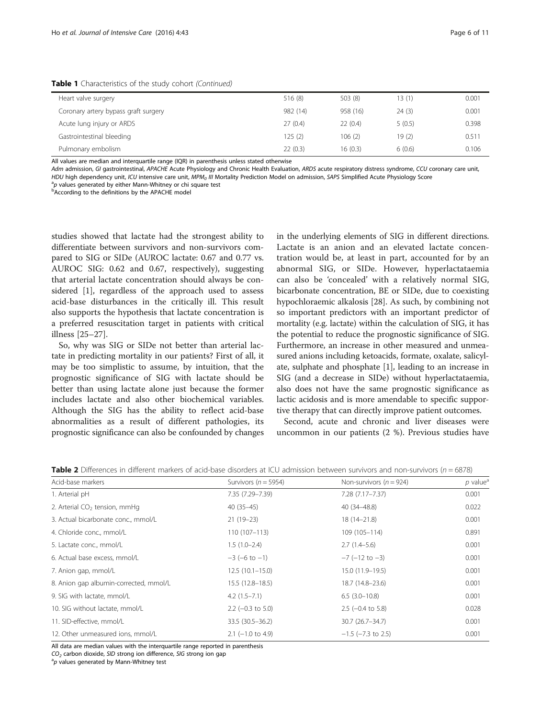| Heart valve surgery                  | 516 (8)  | 503(8)   | 13(1)  | 0.001 |
|--------------------------------------|----------|----------|--------|-------|
|                                      |          |          |        |       |
| Coronary artery bypass graft surgery | 982 (14) | 958 (16) | 24(3)  | 0.001 |
| Acute lung injury or ARDS            | 27(0.4)  | 22(0.4)  | 5(0.5) | 0.398 |
| Gastrointestinal bleeding            | 125(2)   | 106(2)   | 19(2)  | 0.511 |
| Pulmonary embolism                   | 22(0.3)  | 16 (0.3) | 6(0.6) | 0.106 |

### <span id="page-5-0"></span>Table 1 Characteristics of the study cohort (Continued)

All values are median and interquartile range (IQR) in parenthesis unless stated otherwise

Adm admission, GI gastrointestinal, APACHE Acute Physiology and Chronic Health Evaluation, ARDS acute respiratory distress syndrome, CCU coronary care unit, HDU high dependency unit, ICU intensive care unit, MPM<sub>0</sub> III Mortality Prediction Model on admission, SAPS Simplified Acute Physiology Score

 ${}^{a}p$  values generated by either Mann-Whitney or chi square test

**b**According to the definitions by the APACHE model

studies showed that lactate had the strongest ability to differentiate between survivors and non-survivors compared to SIG or SIDe (AUROC lactate: 0.67 and 0.77 vs. AUROC SIG: 0.62 and 0.67, respectively), suggesting that arterial lactate concentration should always be considered [\[1](#page-9-0)], regardless of the approach used to assess acid-base disturbances in the critically ill. This result also supports the hypothesis that lactate concentration is a preferred resuscitation target in patients with critical illness [[25](#page-10-0)–[27](#page-10-0)].

So, why was SIG or SIDe not better than arterial lactate in predicting mortality in our patients? First of all, it may be too simplistic to assume, by intuition, that the prognostic significance of SIG with lactate should be better than using lactate alone just because the former includes lactate and also other biochemical variables. Although the SIG has the ability to reflect acid-base abnormalities as a result of different pathologies, its prognostic significance can also be confounded by changes in the underlying elements of SIG in different directions. Lactate is an anion and an elevated lactate concentration would be, at least in part, accounted for by an abnormal SIG, or SIDe. However, hyperlactataemia can also be 'concealed' with a relatively normal SIG, bicarbonate concentration, BE or SIDe, due to coexisting hypochloraemic alkalosis [[28](#page-10-0)]. As such, by combining not so important predictors with an important predictor of mortality (e.g. lactate) within the calculation of SIG, it has the potential to reduce the prognostic significance of SIG. Furthermore, an increase in other measured and unmeasured anions including ketoacids, formate, oxalate, salicylate, sulphate and phosphate [[1\]](#page-9-0), leading to an increase in SIG (and a decrease in SIDe) without hyperlactataemia, also does not have the same prognostic significance as lactic acidosis and is more amendable to specific supportive therapy that can directly improve patient outcomes.

Second, acute and chronic and liver diseases were uncommon in our patients (2 %). Previous studies have

| <b>Table 2</b> Differences in different markers of acid-base disorders at ICU admission between survivors and non-survivors (n = 6878) |  |
|----------------------------------------------------------------------------------------------------------------------------------------|--|
|----------------------------------------------------------------------------------------------------------------------------------------|--|

| Acid-base markers                      | Survivors ( $n = 5954$ ) | Non-survivors ( $n = 924$ ) | $p$ value <sup>a</sup> |
|----------------------------------------|--------------------------|-----------------------------|------------------------|
| 1. Arterial pH                         | 7.35 (7.29-7.39)         | 7.28 (7.17-7.37)            | 0.001                  |
| 2. Arterial $CO2$ tension, mmHq        | $40(35-45)$              | 40 (34 - 48.8)              | 0.022                  |
| 3. Actual bicarbonate conc., mmol/L    | $21(19-23)$              | $18(14 - 21.8)$             | 0.001                  |
| 4. Chloride conc., mmol/L              | $110(107 - 113)$         | 109 (105-114)               | 0.891                  |
| 5. Lactate conc., mmol/L               | $1.5(1.0-2.4)$           | $2.7(1.4-5.6)$              | 0.001                  |
| 6. Actual base excess, mmol/L          | $-3$ (-6 to $-1$ )       | $-7$ ( $-12$ to $-3$ )      | 0.001                  |
| 7. Anion gap, mmol/L                   | $12.5(10.1-15.0)$        | 15.0 (11.9-19.5)            | 0.001                  |
| 8. Anion gap albumin-corrected, mmol/L | $15.5(12.8-18.5)$        | 18.7 (14.8-23.6)            | 0.001                  |
| 9. SIG with lactate, mmol/L            | $4.2(1.5 - 7.1)$         | $6.5(3.0-10.8)$             | 0.001                  |
| 10. SIG without lactate, mmol/L        | $2.2$ (-0.3 to 5.0)      | $2.5$ (-0.4 to 5.8)         | 0.028                  |
| 11. SID-effective, mmol/L              | $33.5(30.5 - 36.2)$      | 30.7 (26.7-34.7)            | 0.001                  |
| 12. Other unmeasured ions, mmol/L      | $2.1$ (-1.0 to 4.9)      | $-1.5$ ( $-7.3$ to 2.5)     | 0.001                  |

All data are median values with the interquartile range reported in parenthesis

 $CO<sub>2</sub>$  carbon dioxide, SID strong ion difference, SIG strong ion gap

 ${}^{a}p$  values generated by Mann-Whitney test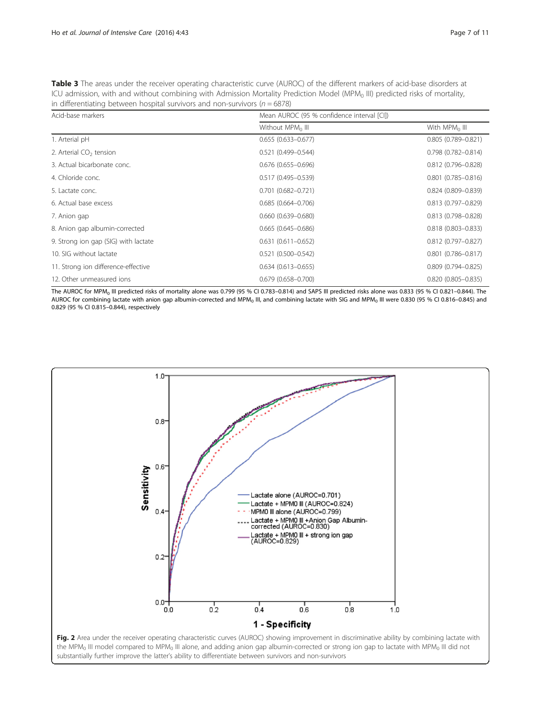<span id="page-6-0"></span>Table 3 The areas under the receiver operating characteristic curve (AUROC) of the different markers of acid-base disorders at ICU admission, with and without combining with Admission Mortality Prediction Model (MPM<sub>0</sub> III) predicted risks of mortality, in differentiating between hospital survivors and non-survivors ( $n = 6878$ )

| Acid-base markers                    | Mean AUROC (95 % confidence interval [CI]) |                           |  |
|--------------------------------------|--------------------------------------------|---------------------------|--|
|                                      | Without MPM <sub>0</sub> III               | With $MPM_0$ III          |  |
| 1. Arterial pH                       | $0.655(0.633 - 0.677)$                     | $0.805(0.789 - 0.821)$    |  |
| 2. Arterial $CO2$ tension            | $0.521(0.499 - 0.544)$                     | $0.798(0.782 - 0.814)$    |  |
| 3. Actual bicarbonate conc.          | $0.676$ (0.655-0.696)                      | $0.812(0.796 - 0.828)$    |  |
| 4. Chloride conc.                    | $0.517(0.495 - 0.539)$                     | $0.801$ $(0.785 - 0.816)$ |  |
| 5. Lactate conc.                     | $0.701$ $(0.682 - 0.721)$                  | $0.824(0.809 - 0.839)$    |  |
| 6. Actual base excess                | $0.685(0.664 - 0.706)$                     | $0.813(0.797 - 0.829)$    |  |
| 7. Anion gap                         | $0.660(0.639 - 0.680)$                     | $0.813(0.798 - 0.828)$    |  |
| 8. Anion gap albumin-corrected       | $0.665(0.645 - 0.686)$                     | $0.818(0.803 - 0.833)$    |  |
| 9. Strong ion gap (SIG) with lactate | $0.631(0.611 - 0.652)$                     | $0.812(0.797 - 0.827)$    |  |
| 10. SIG without lactate              | $0.521(0.500 - 0.542)$                     | $0.801$ $(0.786 - 0.817)$ |  |
| 11. Strong ion difference-effective  | $0.634(0.613 - 0.655)$                     | $0.809(0.794 - 0.825)$    |  |
| 12. Other unmeasured jons            | $0.679(0.658 - 0.700)$                     | $0.820(0.805 - 0.835)$    |  |

The AUROC for MPM<sub>0</sub> III predicted risks of mortality alone was 0.799 (95 % CI 0.783-0.814) and SAPS III predicted risks alone was 0.833 (95 % CI 0.821-0.844). The AUROC for combining lactate with anion gap albumin-corrected and MPM<sub>0</sub> III, and combining lactate with SIG and MPM<sub>0</sub> III were 0.830 (95 % CI 0.816-0.845) and 0.829 (95 % CI 0.815–0.844), respectively

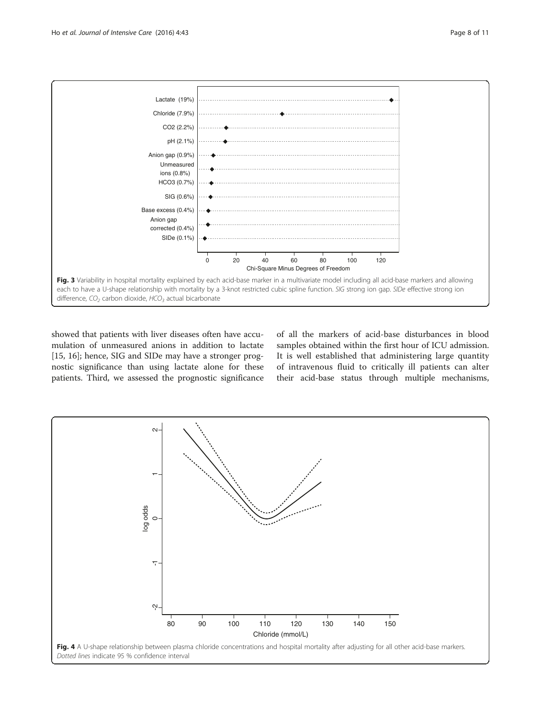<span id="page-7-0"></span>

showed that patients with liver diseases often have accumulation of unmeasured anions in addition to lactate [[15, 16\]](#page-10-0); hence, SIG and SIDe may have a stronger prognostic significance than using lactate alone for these patients. Third, we assessed the prognostic significance of all the markers of acid-base disturbances in blood samples obtained within the first hour of ICU admission. It is well established that administering large quantity of intravenous fluid to critically ill patients can alter their acid-base status through multiple mechanisms,

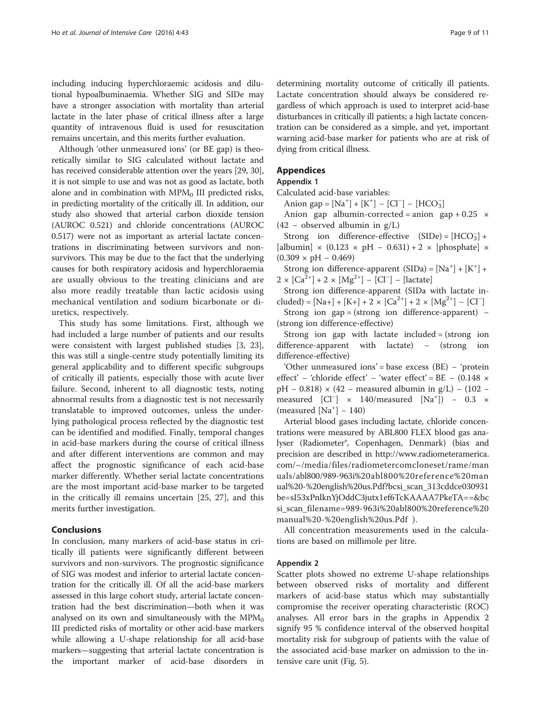<span id="page-8-0"></span>including inducing hyperchloraemic acidosis and dilutional hypoalbuminaemia. Whether SIG and SIDe may have a stronger association with mortality than arterial lactate in the later phase of critical illness after a large quantity of intravenous fluid is used for resuscitation remains uncertain, and this merits further evaluation.

Although 'other unmeasured ions' (or BE gap) is theoretically similar to SIG calculated without lactate and has received considerable attention over the years [\[29, 30](#page-10-0)], it is not simple to use and was not as good as lactate, both alone and in combination with  $MPM<sub>0</sub>$  III predicted risks, in predicting mortality of the critically ill. In addition, our study also showed that arterial carbon dioxide tension (AUROC 0.521) and chloride concentrations (AUROC 0.517) were not as important as arterial lactate concentrations in discriminating between survivors and nonsurvivors. This may be due to the fact that the underlying causes for both respiratory acidosis and hyperchloraemia are usually obvious to the treating clinicians and are also more readily treatable than lactic acidosis using mechanical ventilation and sodium bicarbonate or diuretics, respectively.

This study has some limitations. First, although we had included a large number of patients and our results were consistent with largest published studies [\[3](#page-9-0), [23](#page-10-0)], this was still a single-centre study potentially limiting its general applicability and to different specific subgroups of critically ill patients, especially those with acute liver failure. Second, inherent to all diagnostic tests, noting abnormal results from a diagnostic test is not necessarily translatable to improved outcomes, unless the underlying pathological process reflected by the diagnostic test can be identified and modified. Finally, temporal changes in acid-base markers during the course of critical illness and after different interventions are common and may affect the prognostic significance of each acid-base marker differently. Whether serial lactate concentrations are the most important acid-base marker to be targeted in the critically ill remains uncertain [\[25](#page-10-0), [27\]](#page-10-0), and this merits further investigation.

# Conclusions

In conclusion, many markers of acid-base status in critically ill patients were significantly different between survivors and non-survivors. The prognostic significance of SIG was modest and inferior to arterial lactate concentration for the critically ill. Of all the acid-base markers assessed in this large cohort study, arterial lactate concentration had the best discrimination—both when it was analysed on its own and simultaneously with the  $MPM<sub>0</sub>$ III predicted risks of mortality or other acid-base markers while allowing a U-shape relationship for all acid-base markers—suggesting that arterial lactate concentration is the important marker of acid-base disorders in

determining mortality outcome of critically ill patients. Lactate concentration should always be considered regardless of which approach is used to interpret acid-base disturbances in critically ill patients; a high lactate concentration can be considered as a simple, and yet, important warning acid-base marker for patients who are at risk of dying from critical illness.

# Appendices

# Appendix 1

Calculated acid-base variables:

Anion gap =  $[Na^+] + [K^+] - [Cl^-] - [HCO_3^-]$ 

Anion gap albumin-corrected = anion gap +  $0.25 \times$ (42 − observed albumin in g/L)

Strong ion difference-effective  $(SIDE) = [HCO<sub>3</sub>] +$ [albumin]  $\times$  (0.123  $\times$  pH – 0.631) + 2  $\times$  [phosphate]  $\times$  $(0.309 \times pH - 0.469)$ 

Strong ion difference-apparent  $(SIDa) = [Na<sup>+</sup>] + [K<sup>+</sup>] +$  $2 \times [Ca^{2+}] + 2 \times [Mg^{2+}] - [Cl^-] - [lactate]$ 

Strong ion difference-apparent (SIDa with lactate included) = [Na+] + [K+] + 2 × [Ca<sup>2+</sup>] + 2 × [Mg<sup>2+</sup>] – [Cl<sup>-</sup>]

Strong ion gap = (strong ion difference-apparent) − (strong ion difference-effective)

Strong ion gap with lactate included = (strong ion difference-apparent with lactate) − (strong ion difference-effective)

'Other unmeasured ions' = base excess (BE) − 'protein effect' − 'chloride effect' − 'water effect' = BE − (0.148 ×  $pH - 0.818$ ) × (42 – measured albumin in g/L) – (102 – measured [Cl<sup>−</sup> ] × 140/measured [Na<sup>+</sup> ]) − 0.3 × (measured [Na<sup>+</sup> ] − 140)

Arterial blood gases including lactate, chloride concentrations were measured by ABL800 FLEX blood gas analyser (Radiometer®, Copenhagen, Denmark) (bias and precision are described in http://www.radiometeramerica. com/~/media/files/radiometercomcloneset/rame/man uals/abl800/989-963i%20abl800%20reference%20man ual%20-%20english%20us.Pdf?bcsi\_scan\_313cddce030931 be=sI53xPnlknYjOddC3jutx1ef6TcKAAAA7PkeTA==&bc si\_scan\_filename=989-963i%20abl800%20reference%20 manual%20-%20english%20us.Pdf ).

All concentration measurements used in the calculations are based on millimole per litre.

# Appendix 2

Scatter plots showed no extreme U-shape relationships between observed risks of mortality and different markers of acid-base status which may substantially compromise the receiver operating characteristic (ROC) analyses. All error bars in the graphs in Appendix 2 signify 95 % confidence interval of the observed hospital mortality risk for subgroup of patients with the value of the associated acid-base marker on admission to the intensive care unit (Fig. 5).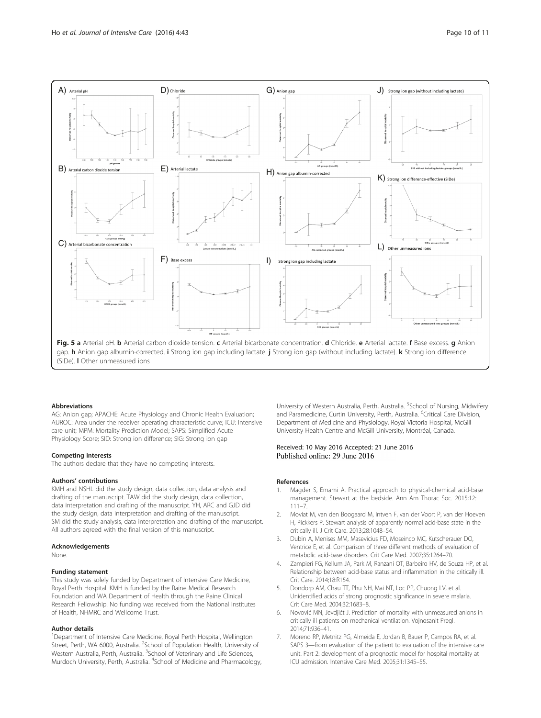<span id="page-9-0"></span>

#### Abbreviations

AG: Anion gap; APACHE: Acute Physiology and Chronic Health Evaluation; AUROC: Area under the receiver operating characteristic curve; ICU: Intensive care unit; MPM: Mortality Prediction Model; SAPS: Simplified Acute Physiology Score; SID: Strong ion difference; SIG: Strong ion gap

#### Competing interests

The authors declare that they have no competing interests.

# Authors' contributions

KMH and NSHL did the study design, data collection, data analysis and drafting of the manuscript. TAW did the study design, data collection, data interpretation and drafting of the manuscript. YH, ARC and GJD did the study design, data interpretation and drafting of the manuscript. SM did the study analysis, data interpretation and drafting of the manuscript. All authors agreed with the final version of this manuscript.

#### Acknowledgements

None.

#### Funding statement

This study was solely funded by Department of Intensive Care Medicine, Royal Perth Hospital. KMH is funded by the Raine Medical Research Foundation and WA Department of Health through the Raine Clinical Research Fellowship. No funding was received from the National Institutes of Health, NHMRC and Wellcome Trust.

# Author details

<sup>1</sup>Department of Intensive Care Medicine, Royal Perth Hospital, Wellington Street, Perth, WA 6000, Australia. <sup>2</sup>School of Population Health, University of Western Australia, Perth, Australia. <sup>3</sup>School of Veterinary and Life Sciences, Murdoch University, Perth, Australia. <sup>4</sup>School of Medicine and Pharmacology,

University of Western Australia, Perth, Australia. <sup>5</sup>School of Nursing, Midwifery and Paramedicine, Curtin University, Perth, Australia. <sup>6</sup>Critical Care Division, Department of Medicine and Physiology, Royal Victoria Hospital, McGill University Health Centre and McGill University, Montréal, Canada.

# Received: 10 May 2016 Accepted: 21 June 2016<br>Published online: 29 June 2016

# References

- 1. Magder S, Emami A. Practical approach to physical-chemical acid-base management. Stewart at the bedside. Ann Am Thorac Soc. 2015;12: 111–7.
- 2. Moviat M, van den Boogaard M, Intven F, van der Voort P, van der Hoeven H, Pickkers P. Stewart analysis of apparently normal acid-base state in the critically ill. J Crit Care. 2013;28:1048–54.
- 3. Dubin A, Menises MM, Masevicius FD, Moseinco MC, Kutscherauer DO, Ventrice E, et al. Comparison of three different methods of evaluation of metabolic acid-base disorders. Crit Care Med. 2007;35:1264–70.
- 4. Zampieri FG, Kellum JA, Park M, Ranzani OT, Barbeiro HV, de Souza HP, et al. Relationship between acid-base status and inflammation in the critically ill. Crit Care. 2014;18:R154.
- 5. Dondorp AM, Chau TT, Phu NH, Mai NT, Loc PP, Chuong LV, et al. Unidentified acids of strong prognostic significance in severe malaria. Crit Care Med. 2004;32:1683–8.
- 6. Novović MN, Jevdjićt J. Prediction of mortality with unmeasured anions in critically ill patients on mechanical ventilation. Vojnosanit Pregl. 2014;71:936–41.
- 7. Moreno RP, Metnitz PG, Almeida E, Jordan B, Bauer P, Campos RA, et al. SAPS 3—from evaluation of the patient to evaluation of the intensive care unit. Part 2: development of a prognostic model for hospital mortality at ICU admission. Intensive Care Med. 2005;31:1345–55.